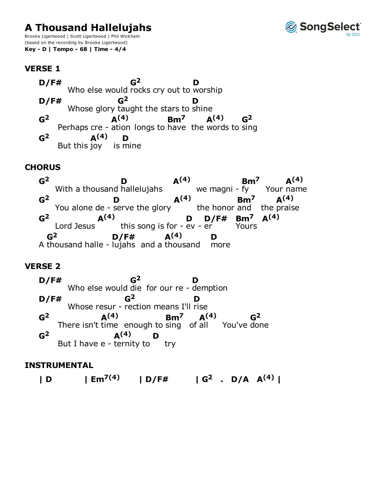# **A Thousand Hallelujahs**

Brooke Ligertwood | Scott Ligertwood | Phil Wickham (based on the recording by Brooke Ligertwood) Key - D | Tempo - 68 | Time - 4/4



**VERSE 1** 

 $G<sup>2</sup>$  $D/F#$ D Who else would rocks cry out to worship  $G<sup>2</sup>$  $D/F#$ D Whose glory taught the stars to shine  $A<sup>(4)</sup>$  $G<sup>2</sup>$  $Bm<sup>7</sup>$  $A<sup>(4)</sup>$  $\mathbf{G}^2$ Perhaps cre - ation longs to have the words to sing  $\mathsf{G}^2$  $A<sup>(4)</sup>$ D But this joy is mine

# **CHORUS**

 $G<sup>2</sup>$  $A<sup>(4)</sup>$  $Bm<sup>7</sup>$  $A^{(4)}$ D With a thousand hallelujahs we magni - fy Your name  $A<sup>(4)</sup>$  $G<sup>2</sup>$  $A<sup>(4)</sup>$  $Bm<sup>7</sup>$ D You alone de - serve the glory the honor and the praise  $A<sup>(4)</sup>$  $D/F#$  Bm<sup>7</sup> A<sup>(4)</sup>  $\mathsf{G}^2$ D this song is for -  $ev - er$ Lord Jesus Yours  $G<sup>2</sup>$  $A<sup>(4)</sup>$  $D/F#$ D A thousand halle - lujahs and a thousand more

# **VERSE 2**

 $G<sup>2</sup>$  $D$ /F# D Who else would die for our re - demption  $D/F#$  $G<sup>2</sup>$ D Whose resur - rection means I'll rise  $G<sup>2</sup>$  $A<sup>(4)</sup>$  $Bm<sup>7</sup>$  $A<sup>(4)</sup>$  $G<sup>2</sup>$ There isn't time enough to sing of all You've done  $G<sup>2</sup>$  $A<sup>(4)</sup>$ D But I have  $e$  - ternity to try

#### **INSTRUMENTAL**

 $|Em^{7(4)}| D/F#$   $| G^2 | D/A | A^{(4)} |$  $\mathsf{L}$